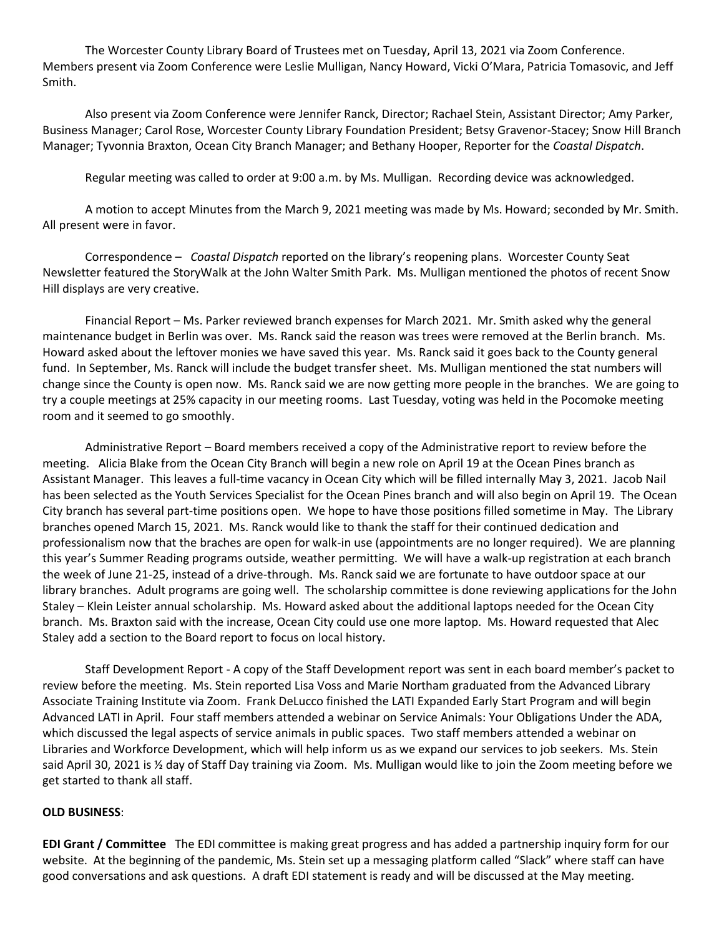The Worcester County Library Board of Trustees met on Tuesday, April 13, 2021 via Zoom Conference. Members present via Zoom Conference were Leslie Mulligan, Nancy Howard, Vicki O'Mara, Patricia Tomasovic, and Jeff Smith.

Also present via Zoom Conference were Jennifer Ranck, Director; Rachael Stein, Assistant Director; Amy Parker, Business Manager; Carol Rose, Worcester County Library Foundation President; Betsy Gravenor-Stacey; Snow Hill Branch Manager; Tyvonnia Braxton, Ocean City Branch Manager; and Bethany Hooper, Reporter for the *Coastal Dispatch*.

Regular meeting was called to order at 9:00 a.m. by Ms. Mulligan. Recording device was acknowledged.

A motion to accept Minutes from the March 9, 2021 meeting was made by Ms. Howard; seconded by Mr. Smith. All present were in favor.

Correspondence – *Coastal Dispatch* reported on the library's reopening plans. Worcester County Seat Newsletter featured the StoryWalk at the John Walter Smith Park. Ms. Mulligan mentioned the photos of recent Snow Hill displays are very creative.

Financial Report – Ms. Parker reviewed branch expenses for March 2021. Mr. Smith asked why the general maintenance budget in Berlin was over. Ms. Ranck said the reason was trees were removed at the Berlin branch. Ms. Howard asked about the leftover monies we have saved this year. Ms. Ranck said it goes back to the County general fund. In September, Ms. Ranck will include the budget transfer sheet. Ms. Mulligan mentioned the stat numbers will change since the County is open now. Ms. Ranck said we are now getting more people in the branches. We are going to try a couple meetings at 25% capacity in our meeting rooms. Last Tuesday, voting was held in the Pocomoke meeting room and it seemed to go smoothly.

Administrative Report – Board members received a copy of the Administrative report to review before the meeting. Alicia Blake from the Ocean City Branch will begin a new role on April 19 at the Ocean Pines branch as Assistant Manager. This leaves a full-time vacancy in Ocean City which will be filled internally May 3, 2021. Jacob Nail has been selected as the Youth Services Specialist for the Ocean Pines branch and will also begin on April 19. The Ocean City branch has several part-time positions open. We hope to have those positions filled sometime in May. The Library branches opened March 15, 2021. Ms. Ranck would like to thank the staff for their continued dedication and professionalism now that the braches are open for walk-in use (appointments are no longer required). We are planning this year's Summer Reading programs outside, weather permitting. We will have a walk-up registration at each branch the week of June 21-25, instead of a drive-through. Ms. Ranck said we are fortunate to have outdoor space at our library branches. Adult programs are going well. The scholarship committee is done reviewing applications for the John Staley – Klein Leister annual scholarship. Ms. Howard asked about the additional laptops needed for the Ocean City branch. Ms. Braxton said with the increase, Ocean City could use one more laptop. Ms. Howard requested that Alec Staley add a section to the Board report to focus on local history.

Staff Development Report - A copy of the Staff Development report was sent in each board member's packet to review before the meeting. Ms. Stein reported Lisa Voss and Marie Northam graduated from the Advanced Library Associate Training Institute via Zoom. Frank DeLucco finished the LATI Expanded Early Start Program and will begin Advanced LATI in April. Four staff members attended a webinar on Service Animals: Your Obligations Under the ADA, which discussed the legal aspects of service animals in public spaces. Two staff members attended a webinar on Libraries and Workforce Development, which will help inform us as we expand our services to job seekers. Ms. Stein said April 30, 2021 is ½ day of Staff Day training via Zoom. Ms. Mulligan would like to join the Zoom meeting before we get started to thank all staff.

## **OLD BUSINESS**:

**EDI Grant / Committee** The EDI committee is making great progress and has added a partnership inquiry form for our website. At the beginning of the pandemic, Ms. Stein set up a messaging platform called "Slack" where staff can have good conversations and ask questions. A draft EDI statement is ready and will be discussed at the May meeting.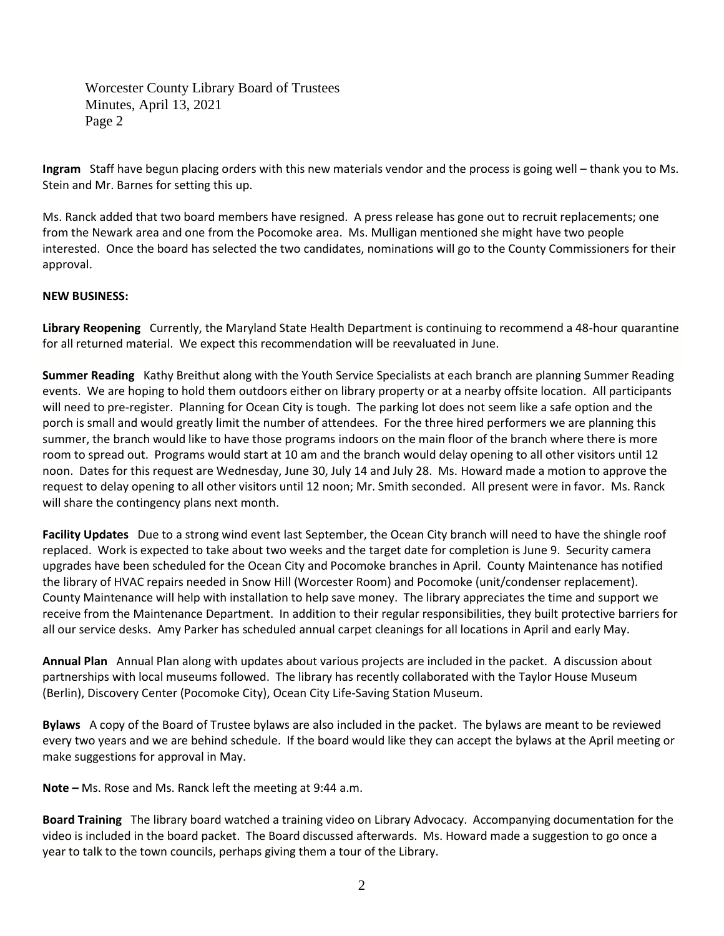Worcester County Library Board of Trustees Minutes, April 13, 2021 Page 2

**Ingram** Staff have begun placing orders with this new materials vendor and the process is going well – thank you to Ms. Stein and Mr. Barnes for setting this up.

Ms. Ranck added that two board members have resigned. A press release has gone out to recruit replacements; one from the Newark area and one from the Pocomoke area. Ms. Mulligan mentioned she might have two people interested. Once the board has selected the two candidates, nominations will go to the County Commissioners for their approval.

## **NEW BUSINESS:**

**Library Reopening** Currently, the Maryland State Health Department is continuing to recommend a 48-hour quarantine for all returned material. We expect this recommendation will be reevaluated in June.

**Summer Reading** Kathy Breithut along with the Youth Service Specialists at each branch are planning Summer Reading events. We are hoping to hold them outdoors either on library property or at a nearby offsite location. All participants will need to pre-register. Planning for Ocean City is tough. The parking lot does not seem like a safe option and the porch is small and would greatly limit the number of attendees. For the three hired performers we are planning this summer, the branch would like to have those programs indoors on the main floor of the branch where there is more room to spread out. Programs would start at 10 am and the branch would delay opening to all other visitors until 12 noon. Dates for this request are Wednesday, June 30, July 14 and July 28. Ms. Howard made a motion to approve the request to delay opening to all other visitors until 12 noon; Mr. Smith seconded. All present were in favor. Ms. Ranck will share the contingency plans next month.

**Facility Updates** Due to a strong wind event last September, the Ocean City branch will need to have the shingle roof replaced. Work is expected to take about two weeks and the target date for completion is June 9. Security camera upgrades have been scheduled for the Ocean City and Pocomoke branches in April. County Maintenance has notified the library of HVAC repairs needed in Snow Hill (Worcester Room) and Pocomoke (unit/condenser replacement). County Maintenance will help with installation to help save money. The library appreciates the time and support we receive from the Maintenance Department. In addition to their regular responsibilities, they built protective barriers for all our service desks. Amy Parker has scheduled annual carpet cleanings for all locations in April and early May.

**Annual Plan** Annual Plan along with updates about various projects are included in the packet. A discussion about partnerships with local museums followed. The library has recently collaborated with the Taylor House Museum (Berlin), Discovery Center (Pocomoke City), Ocean City Life-Saving Station Museum.

**Bylaws** A copy of the Board of Trustee bylaws are also included in the packet. The bylaws are meant to be reviewed every two years and we are behind schedule. If the board would like they can accept the bylaws at the April meeting or make suggestions for approval in May.

**Note –** Ms. Rose and Ms. Ranck left the meeting at 9:44 a.m.

**Board Training** The library board watched a training video on Library Advocacy. Accompanying documentation for the video is included in the board packet. The Board discussed afterwards. Ms. Howard made a suggestion to go once a year to talk to the town councils, perhaps giving them a tour of the Library.